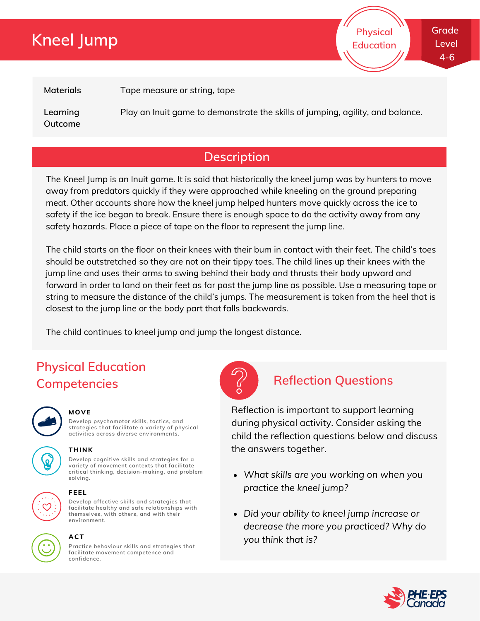# **Kneel Jump**

**Physical Education**

**Materials**

Tape measure or string, tape

**Learning Outcome** Play an Inuit game to demonstrate the skills of jumping, agility, and balance.

## **Description**

The Kneel Jump is an Inuit game. It is said that historically the kneel jump was by hunters to move away from predators quickly if they were approached while kneeling on the ground preparing meat. Other accounts share how the kneel jump helped hunters move quickly across the ice to safety if the ice began to break. Ensure there is enough space to do the activity away from any safety hazards. Place a piece of tape on the floor to represent the jump line.

The child starts on the floor on their knees with their bum in contact with their feet. The child's toes should be outstretched so they are not on their tippy toes. The child lines up their knees with the jump line and uses their arms to swing behind their body and thrusts their body upward and forward in order to land on their feet as far past the jump line as possible. Use a measuring tape or string to measure the distance of the child's jumps. The measurement is taken from the heel that is closest to the jump line or the body part that falls backwards.

The child continues to kneel jump and jump the longest distance.

## **Physical Education Competencies Reflection Questions**



### **MOVE**

**Develop psychomotor skills, tactics, and strategies that facilitate a variety of physical activities across diverse environments.**







**THINK**

**Develop cognitive skills and strategies for a variety of movement contexts that facilitate critical thinking, decision-making, and problem solving.**



### **FEEL**

**Develop affective skills and strategies that facilitate healthy and safe relationships with themselves, with others, and with their environment.**



### **ACT**

**Practice behaviour skills and strategies that facilitate movement competence and confidence.**



Reflection is important to support learning during physical activity. Consider asking the child the reflection questions below and discuss the answers together.

- *What skills are you working on when you practice the kneel jump?*
- *Did your ability to kneel jump increase or decrease the more you practiced? Why do you think that is?*